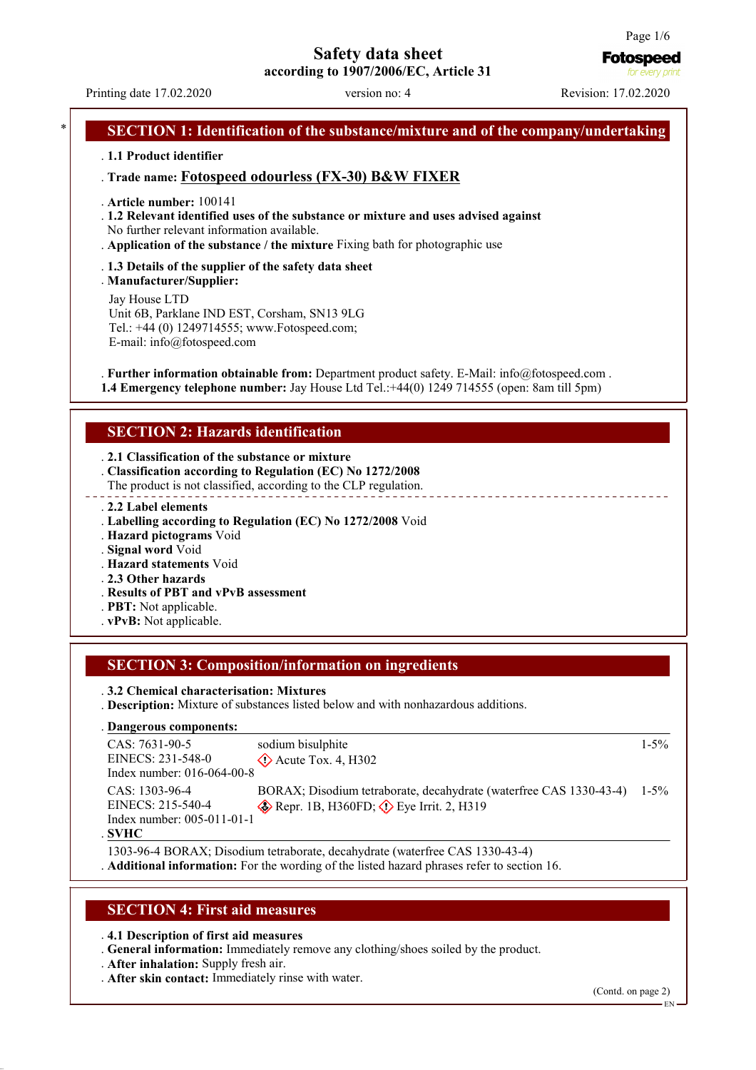# **Safety data sheet**

**according to 1907/2006/EC, Article 31**

Printing date 17.02.2020 version no: 4 Revision: 17.02.2020

**Fotospeed** for everv on

### **SECTION 1: Identification of the substance/mixture and of the company/undertaking**

### . **1.1 Product identifier**

### . **Trade name: Fotospeed odourless (FX-30) B&W FIXER**

- . **Article number:** 100141
- . **1.2 Relevant identified uses of the substance or mixture and uses advised against** No further relevant information available.
- . **Application of the substance / the mixture** Fixing bath for photographic use
- . **1.3 Details of the supplier of the safety data sheet**

. **Manufacturer/Supplier:** Jay House LTD Unit 6B, Parklane IND EST, Corsham, SN13 9LG Tel.: +44 (0) 1249714555; www.Fotospeed.com;

E-mail: info@fotospeed.com

. **Further information obtainable from:** Department product safety. E-Mail: info@fotospeed.com . **1.4 Emergency telephone number:** Jay House Ltd Tel.:+44(0) 1249 714555 (open: 8am till 5pm)

### **SECTION 2: Hazards identification**

- . **2.1 Classification of the substance or mixture**
- . **Classification according to Regulation (EC) No 1272/2008**
- The product is not classified, according to the CLP regulation.
- . **2.2 Label elements**
- . **Labelling according to Regulation (EC) No 1272/2008** Void
- . **Hazard pictograms** Void
- . **Signal word** Void
- . **Hazard statements** Void
- . **2.3 Other hazards**
- . **Results of PBT and vPvB assessment**
- . **PBT:** Not applicable.
- . **vPvB:** Not applicable.

# **SECTION 3: Composition/information on ingredients**

. **3.2 Chemical characterisation: Mixtures**

. **Description:** Mixture of substances listed below and with nonhazardous additions.

#### **Dangerous components:** .

| $CAS: 7631-90-5$             | sodium bisulphite                                                  | $1 - 5\%$ |
|------------------------------|--------------------------------------------------------------------|-----------|
| EINECS: 231-548-0            | $\Diamond$ Acute Tox. 4, H302                                      |           |
| Index number: $016-064-00-8$ |                                                                    |           |
| CAS: 1303-96-4               | BORAX; Disodium tetraborate, decahydrate (waterfree CAS 1330-43-4) | $1 - 5\%$ |
| EINECS: 215-540-4            | $\otimes$ Repr. 1B, H360FD; $\otimes$ Eye Irrit. 2, H319           |           |
| Index number: 005-011-01-1   |                                                                    |           |
| . SVHC -                     |                                                                    |           |

1303-96-4 BORAX; Disodium tetraborate, decahydrate (waterfree CAS 1330-43-4) . **Additional information:** For the wording of the listed hazard phrases refer to section 16.

### **SECTION 4: First aid measures**

### . **4.1 Description of first aid measures**

- . **General information:** Immediately remove any clothing/shoes soiled by the product.
- . **After inhalation:** Supply fresh air.
- . **After skin contact:** Immediately rinse with water.

(Contd. on page 2)

EN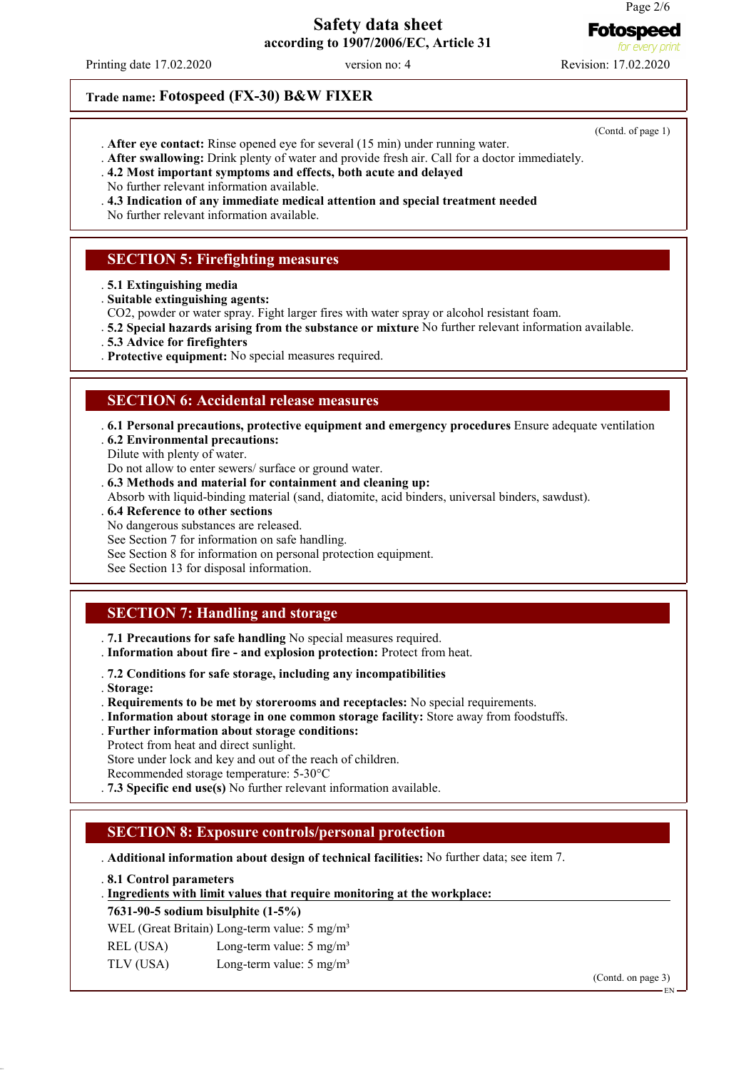**Fotospeed** for evr

### **Safety data sheet according to 1907/2006/EC, Article 31**

Printing date 17.02.2020 version no: 4 Revision: 17.02.2020

# **Trade name: Fotospeed (FX-30) B&W FIXER**

- . **After eye contact:** Rinse opened eye for several (15 min) under running water.
- . **After swallowing:** Drink plenty of water and provide fresh air. Call for a doctor immediately.
- . **4.2 Most important symptoms and effects, both acute and delayed**
- No further relevant information available.
- . **4.3 Indication of any immediate medical attention and special treatment needed**
- No further relevant information available.

# **SECTION 5: Firefighting measures**

- . **5.1 Extinguishing media**
- . **Suitable extinguishing agents:**
- CO2, powder or water spray. Fight larger fires with water spray or alcohol resistant foam.
- . **5.2 Special hazards arising from the substance or mixture** No further relevant information available.
- . **5.3 Advice for firefighters**
- . **Protective equipment:** No special measures required.

### **SECTION 6: Accidental release measures**

- . **6.1 Personal precautions, protective equipment and emergency procedures** Ensure adequate ventilation
- . **6.2 Environmental precautions:**
- Dilute with plenty of water.
- Do not allow to enter sewers/ surface or ground water.
- . **6.3 Methods and material for containment and cleaning up:**
- Absorb with liquid-binding material (sand, diatomite, acid binders, universal binders, sawdust).
- . **6.4 Reference to other sections**
- No dangerous substances are released.
- See Section 7 for information on safe handling.
- See Section 8 for information on personal protection equipment.
- See Section 13 for disposal information.

### **SECTION 7: Handling and storage**

- . **7.1 Precautions for safe handling** No special measures required.
- . **Information about fire and explosion protection:** Protect from heat.
- . **7.2 Conditions for safe storage, including any incompatibilities**
- . **Storage:**
- . **Requirements to be met by storerooms and receptacles:** No special requirements.
- . **Information about storage in one common storage facility:** Store away from foodstuffs.
- . **Further information about storage conditions:**
- Protect from heat and direct sunlight.

Store under lock and key and out of the reach of children.

Recommended storage temperature: 5-30°C

. **7.3 Specific end use(s)** No further relevant information available.

# **SECTION 8: Exposure controls/personal protection**

. **Additional information about design of technical facilities:** No further data; see item 7.

. **8.1 Control parameters**

### **Ingredients with limit values that require monitoring at the workplace:** .

### **7631-90-5 sodium bisulphite (1-5%)**

- WEL (Great Britain) Long-term value: 5 mg/m<sup>3</sup>
- REL (USA) Long-term value: 5 mg/m<sup>3</sup> TLV (USA) Long-term value: 5 mg/m<sup>3</sup>

(Contd. on page 3)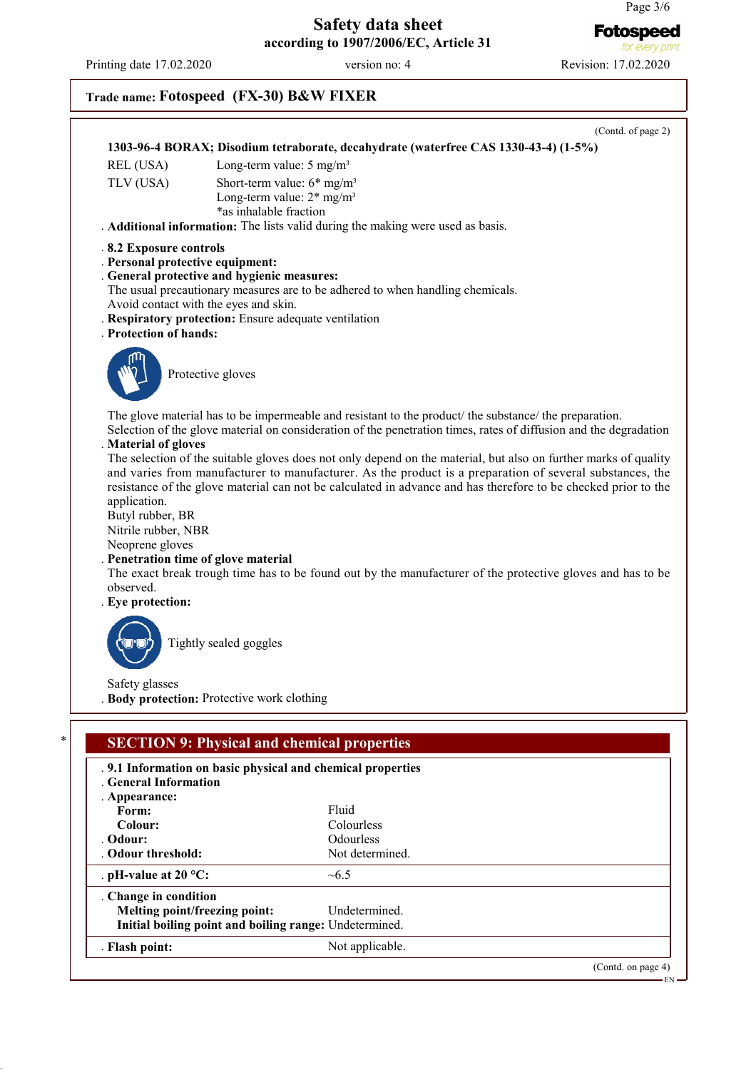for every print

# **Safety data sheet according to 1907/2006/EC, Article 31**

Printing date 17.02.2020 version no: 4 Revision: 17.02.2020

# **Trade name: Fotospeed (FX-30) B&W FIXER**

**Colour:** Colourless<br> **Colour:** Colourless<br>
Colourless

**Melting point/freezing point:** Undetermined. **Initial boiling point and boiling range:** Undetermined. . **Flash point:** Not applicable.

. **pH-value at 20 °C:** ~6.5

. Odour threshold:

. **Change in condition**

| 1303-96-4 BORAX; Disodium tetraborate, decahydrate (waterfree CAS 1330-43-4) (1-5%)<br>Long-term value: $5 \text{ mg/m}^3$<br>REL (USA)<br>Short-term value: $6*$ mg/m <sup>3</sup><br>Long-term value: $2*$ mg/m <sup>3</sup><br>*as inhalable fraction<br>. Additional information: The lists valid during the making were used as basis.<br>.8.2 Exposure controls<br>. Personal protective equipment:<br>. General protective and hygienic measures:<br>The usual precautionary measures are to be adhered to when handling chemicals.<br>Avoid contact with the eyes and skin.<br>. Respiratory protection: Ensure adequate ventilation<br>. Protection of hands:<br>Protective gloves<br>The glove material has to be impermeable and resistant to the product/ the substance/ the preparation.<br>Selection of the glove material on consideration of the penetration times, rates of diffusion and the degradation<br>. Material of gloves<br>The selection of the suitable gloves does not only depend on the material, but also on further marks of quality<br>and varies from manufacturer to manufacturer. As the product is a preparation of several substances, the<br>resistance of the glove material can not be calculated in advance and has therefore to be checked prior to the<br>Nitrile rubber, NBR<br>. Penetration time of glove material<br>The exact break trough time has to be found out by the manufacturer of the protective gloves and has to be<br>Tightly sealed goggles<br>. Body protection: Protective work clothing<br><b>SECTION 9: Physical and chemical properties</b><br>.9.1 Information on basic physical and chemical properties<br>. General Information<br>Fluid<br>Form: |                                                                                       | (Contd. of page 2) |
|--------------------------------------------------------------------------------------------------------------------------------------------------------------------------------------------------------------------------------------------------------------------------------------------------------------------------------------------------------------------------------------------------------------------------------------------------------------------------------------------------------------------------------------------------------------------------------------------------------------------------------------------------------------------------------------------------------------------------------------------------------------------------------------------------------------------------------------------------------------------------------------------------------------------------------------------------------------------------------------------------------------------------------------------------------------------------------------------------------------------------------------------------------------------------------------------------------------------------------------------------------------------------------------------------------------------------------------------------------------------------------------------------------------------------------------------------------------------------------------------------------------------------------------------------------------------------------------------------------------------------------------------------------------------------------------------------------------------------|---------------------------------------------------------------------------------------|--------------------|
|                                                                                                                                                                                                                                                                                                                                                                                                                                                                                                                                                                                                                                                                                                                                                                                                                                                                                                                                                                                                                                                                                                                                                                                                                                                                                                                                                                                                                                                                                                                                                                                                                                                                                                                          |                                                                                       |                    |
|                                                                                                                                                                                                                                                                                                                                                                                                                                                                                                                                                                                                                                                                                                                                                                                                                                                                                                                                                                                                                                                                                                                                                                                                                                                                                                                                                                                                                                                                                                                                                                                                                                                                                                                          | TLV (USA)                                                                             |                    |
|                                                                                                                                                                                                                                                                                                                                                                                                                                                                                                                                                                                                                                                                                                                                                                                                                                                                                                                                                                                                                                                                                                                                                                                                                                                                                                                                                                                                                                                                                                                                                                                                                                                                                                                          |                                                                                       |                    |
|                                                                                                                                                                                                                                                                                                                                                                                                                                                                                                                                                                                                                                                                                                                                                                                                                                                                                                                                                                                                                                                                                                                                                                                                                                                                                                                                                                                                                                                                                                                                                                                                                                                                                                                          |                                                                                       |                    |
|                                                                                                                                                                                                                                                                                                                                                                                                                                                                                                                                                                                                                                                                                                                                                                                                                                                                                                                                                                                                                                                                                                                                                                                                                                                                                                                                                                                                                                                                                                                                                                                                                                                                                                                          |                                                                                       |                    |
|                                                                                                                                                                                                                                                                                                                                                                                                                                                                                                                                                                                                                                                                                                                                                                                                                                                                                                                                                                                                                                                                                                                                                                                                                                                                                                                                                                                                                                                                                                                                                                                                                                                                                                                          | application.<br>Butyl rubber, BR<br>Neoprene gloves<br>observed.<br>. Eye protection: |                    |
|                                                                                                                                                                                                                                                                                                                                                                                                                                                                                                                                                                                                                                                                                                                                                                                                                                                                                                                                                                                                                                                                                                                                                                                                                                                                                                                                                                                                                                                                                                                                                                                                                                                                                                                          |                                                                                       |                    |
|                                                                                                                                                                                                                                                                                                                                                                                                                                                                                                                                                                                                                                                                                                                                                                                                                                                                                                                                                                                                                                                                                                                                                                                                                                                                                                                                                                                                                                                                                                                                                                                                                                                                                                                          | Safety glasses                                                                        |                    |
|                                                                                                                                                                                                                                                                                                                                                                                                                                                                                                                                                                                                                                                                                                                                                                                                                                                                                                                                                                                                                                                                                                                                                                                                                                                                                                                                                                                                                                                                                                                                                                                                                                                                                                                          |                                                                                       |                    |
|                                                                                                                                                                                                                                                                                                                                                                                                                                                                                                                                                                                                                                                                                                                                                                                                                                                                                                                                                                                                                                                                                                                                                                                                                                                                                                                                                                                                                                                                                                                                                                                                                                                                                                                          |                                                                                       |                    |
|                                                                                                                                                                                                                                                                                                                                                                                                                                                                                                                                                                                                                                                                                                                                                                                                                                                                                                                                                                                                                                                                                                                                                                                                                                                                                                                                                                                                                                                                                                                                                                                                                                                                                                                          |                                                                                       |                    |
|                                                                                                                                                                                                                                                                                                                                                                                                                                                                                                                                                                                                                                                                                                                                                                                                                                                                                                                                                                                                                                                                                                                                                                                                                                                                                                                                                                                                                                                                                                                                                                                                                                                                                                                          | . Appearance:                                                                         |                    |
|                                                                                                                                                                                                                                                                                                                                                                                                                                                                                                                                                                                                                                                                                                                                                                                                                                                                                                                                                                                                                                                                                                                                                                                                                                                                                                                                                                                                                                                                                                                                                                                                                                                                                                                          | Colour:                                                                               | Colourless         |

Odourless<br>Not determined.

# **Fotospeed**

(Contd. on page 4) EN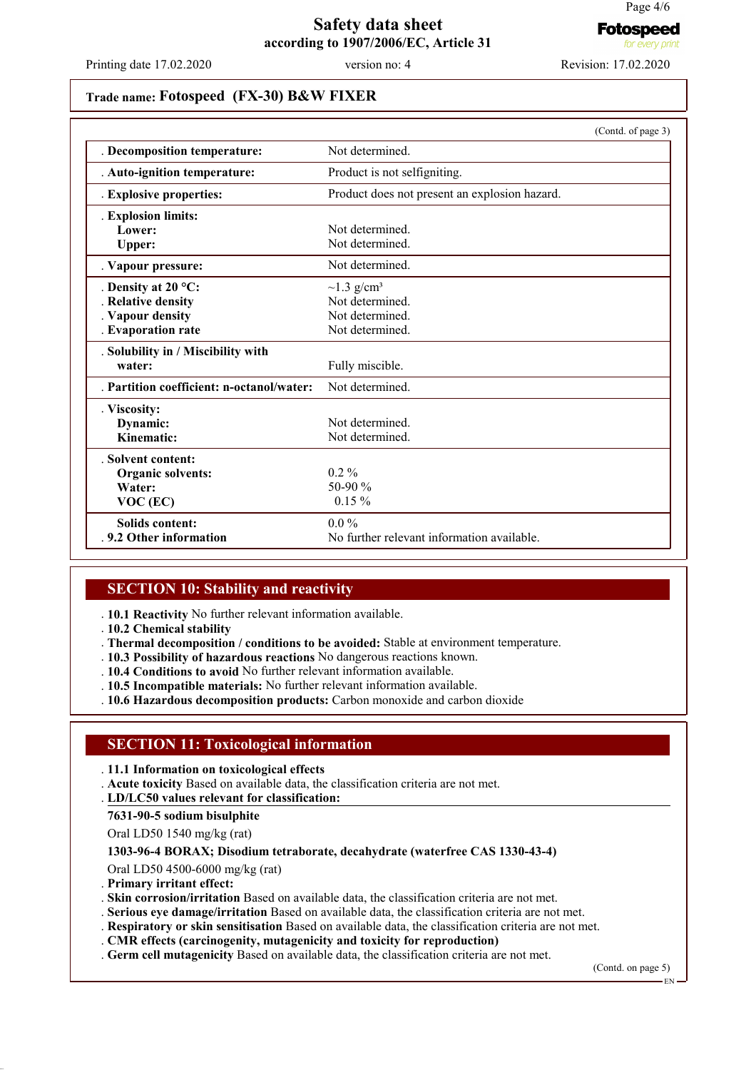**Fotospeed** for every pr

### **Safety data sheet according to 1907/2006/EC, Article 31**

Printing date 17.02.2020 version no: 4 Revision: 17.02.2020

### **Trade name: Fotospeed (FX-30) B&W FIXER**

|                                         | (Contd. of page 3)                            |  |  |
|-----------------------------------------|-----------------------------------------------|--|--|
| . Decomposition temperature:            | Not determined.                               |  |  |
| . Auto-ignition temperature:            | Product is not selfigniting.                  |  |  |
| . Explosive properties:                 | Product does not present an explosion hazard. |  |  |
| . Explosion limits:                     |                                               |  |  |
| Lower:                                  | Not determined                                |  |  |
| Upper:                                  | Not determined.                               |  |  |
| . Vapour pressure:                      | Not determined.                               |  |  |
| . Density at $20^{\circ}$ C:            | $\sim$ 1.3 g/cm <sup>3</sup>                  |  |  |
| <b>Relative density</b>                 | Not determined.                               |  |  |
| . Vapour density                        | Not determined.                               |  |  |
| . Evaporation rate                      | Not determined.                               |  |  |
| . Solubility in / Miscibility with      |                                               |  |  |
| water:                                  | Fully miscible.                               |  |  |
| Partition coefficient: n-octanol/water: | Not determined.                               |  |  |
| . Viscosity:                            |                                               |  |  |
| Dynamic:                                | Not determined                                |  |  |
| Kinematic:                              | Not determined.                               |  |  |
| . Solvent content:                      |                                               |  |  |
| <b>Organic solvents:</b>                | $0.2 \%$                                      |  |  |
| Water:                                  | 50-90 %                                       |  |  |
| VOC (EC)                                | $0.15 \%$                                     |  |  |
| Solids content:                         | $0.0\%$                                       |  |  |
| .9.2 Other information                  | No further relevant information available.    |  |  |

### **SECTION 10: Stability and reactivity**

. **10.1 Reactivity** No further relevant information available.

- . **10.2 Chemical stability**
- . **Thermal decomposition / conditions to be avoided:** Stable at environment temperature.
- . **10.3 Possibility of hazardous reactions** No dangerous reactions known.
- . **10.4 Conditions to avoid** No further relevant information available.
- . **10.5 Incompatible materials:** No further relevant information available.
- . **10.6 Hazardous decomposition products:** Carbon monoxide and carbon dioxide

# **SECTION 11: Toxicological information**

. **11.1 Information on toxicological effects**

. **Acute toxicity** Based on available data, the classification criteria are not met.

**LD/LC50 values relevant for classification:** .

**7631-90-5 sodium bisulphite**

Oral LD50 1540 mg/kg (rat)

#### **1303-96-4 BORAX; Disodium tetraborate, decahydrate (waterfree CAS 1330-43-4)**

Oral LD50 4500-6000 mg/kg (rat)

. **Primary irritant effect:**

. **Skin corrosion/irritation** Based on available data, the classification criteria are not met.

- . **Serious eye damage/irritation** Based on available data, the classification criteria are not met.
- . **Respiratory or skin sensitisation** Based on available data, the classification criteria are not met.
- . **CMR effects (carcinogenity, mutagenicity and toxicity for reproduction)**

. **Germ cell mutagenicity** Based on available data, the classification criteria are not met.

(Contd. on page 5)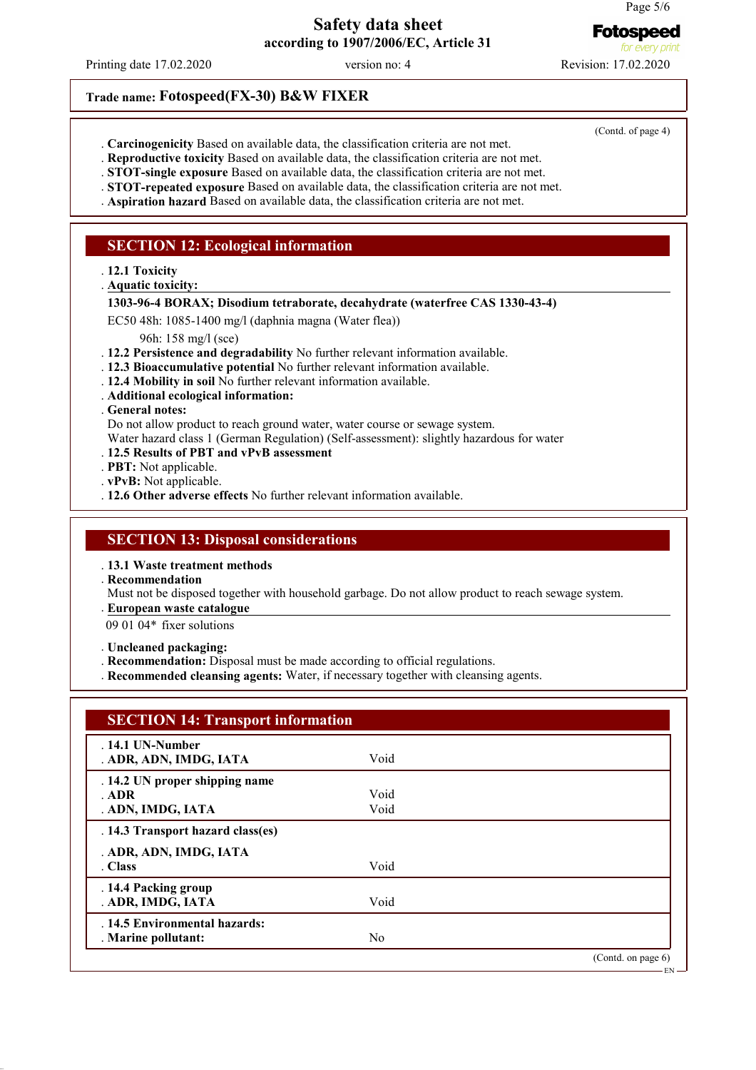**Fotospeed** for every on

# **Safety data sheet according to 1907/2006/EC, Article 31**

Printing date 17.02.2020 version no: 4 Revision: 17.02.2020

(Contd. of page 4)

- . **Carcinogenicity** Based on available data, the classification criteria are not met.
- . **Reproductive toxicity** Based on available data, the classification criteria are not met.
- . **STOT-single exposure** Based on available data, the classification criteria are not met.
- . **STOT-repeated exposure** Based on available data, the classification criteria are not met.
- . **Aspiration hazard** Based on available data, the classification criteria are not met.

### **SECTION 12: Ecological information**

**Trade name: Fotospeed(FX-30) B&W FIXER**

. **12.1 Toxicity**

- **Aquatic toxicity:** .
- **1303-96-4 BORAX; Disodium tetraborate, decahydrate (waterfree CAS 1330-43-4)**

EC50 48h: 1085-1400 mg/l (daphnia magna (Water flea))

96h: 158 mg/l (sce)

- . **12.2 Persistence and degradability** No further relevant information available.
- . **12.3 Bioaccumulative potential** No further relevant information available.
- . **12.4 Mobility in soil** No further relevant information available.
- . **Additional ecological information:**

. **General notes:**

- Do not allow product to reach ground water, water course or sewage system.
- Water hazard class 1 (German Regulation) (Self-assessment): slightly hazardous for water
- . **12.5 Results of PBT and vPvB assessment**
- . **PBT:** Not applicable.
- . **vPvB:** Not applicable.
- . **12.6 Other adverse effects** No further relevant information available.

### **SECTION 13: Disposal considerations**

. **13.1 Waste treatment methods**

. **Recommendation**

Must not be disposed together with household garbage. Do not allow product to reach sewage system.

**European waste catalogue** .

09 01 04\* fixer solutions

. **Uncleaned packaging:**

- . **Recommendation:** Disposal must be made according to official regulations.
- . **Recommended cleansing agents:** Water, if necessary together with cleansing agents.

| <b>SECTION 14: Transport information</b> |                |                       |
|------------------------------------------|----------------|-----------------------|
| $.14.1$ UN-Number                        |                |                       |
| . ADR, ADN, IMDG, IATA                   | Void           |                       |
| . 14.2 UN proper shipping name           |                |                       |
| ADR                                      | Void           |                       |
| . ADN, IMDG, IATA                        | Void           |                       |
| . 14.3 Transport hazard class(es)        |                |                       |
| . ADR, ADN, IMDG, IATA                   |                |                       |
| . Class                                  | Void           |                       |
| . 14.4 Packing group                     |                |                       |
| . ADR, IMDG, IATA                        | Void           |                       |
| . 14.5 Environmental hazards:            |                |                       |
| . Marine pollutant:                      | N <sub>0</sub> |                       |
|                                          |                | (Contd. on page $6$ ) |